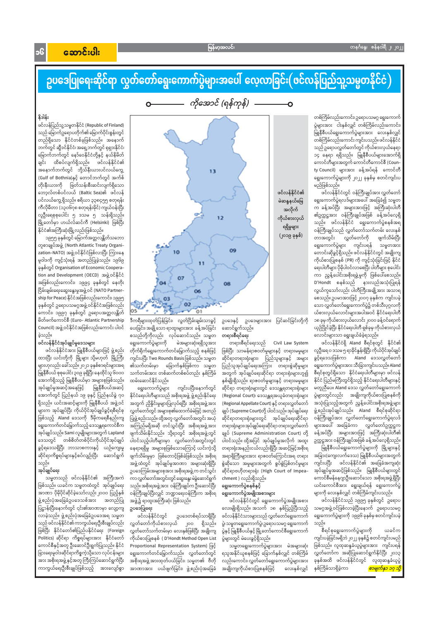### တနင်္ဂနွေ၊ ဇန်နဝါရီ ၂၊ ၂၀၂၂

# ဥပဒေပြုရေးဆိုင်ရာ လွတ်တော်ရွေးကောက်ပွဲများအပေါ် လေ့လာခြင်း(ဖင်လန်ပြည်သူ့သမ္မတနိုင်ငံ)

#### နိဒါန်း

ဖင်လန်ပြည်သူ့သမ္မတနိုင်ငံ (Republic of Finland) သည် မြောက်ဥရောပတိုက်၏ မြောက်ပိုင်းစွန်းတွင် တည်ရှိသော နိုင်ငံတစ်ခုဖြစ်သည်။ အနောက် ဘက်တွင် ဆွီဒင်နိုင်ငံ၊ အရှေ့ဘက်တွင် ရုရှားနိုင်ငံ၊ မြောက်ဘက်တွင် နော်ဝေနိုင်ငံတို့နှင့် နယ်နိမိတ် ချင်း ထိစပ်လျက်ရှိသည်။ ဖင်လန်နိုင်ငံ၏ အနောက်ဘက်တွင် ဘို့သ်နီးယားပင်လယ်ကွေ့ (Gulf of Bothnia)နှင့် တောင်ဘက်တွင် အက်စ် တိုးနီးယားကို ဖြတ်သန်းစီးဆင်းလျက်ရှိသော ဘော့လ်တစ်ပင်လယ် (Baltic Sea)၏ ဖင်လန် ပင်လယ်ကွေ့ ရှိသည်။ ဧရိယာ ၃၃၈၄၅၅ စတုရန်း ကီလိုမီတာ (၁၃၀၆၇၈ စတုရန်းမိုင်) ကျယ်ဝန်းပြီး လူဦးရေစုစုပေါင်း ၅ ဒသမ ၅ သန်းရှိသည်။ မြို့တော်မှာ ဟယ်လ်ဆင်ကီ (Helsinki) ဖြစ်ပြီး နိုင်ငံ၏အကြီးဆုံးမြို့လည်းဖြစ်သည်။

၁၉၅၅ ခုနှစ်တွင် မြောက်အတ္တလန္တိတ်သဘော တူစာချုပ်အဖွဲ့ (North Atlantic Treaty Organi– zation–NATO) အဖွဲ့ဝင်နိုင်ငံဖြစ်လာပြီး ကြားနေ မူဝါဒကို ကျင့်သုံးရန် အတည်ပြုခဲ့သည်။ ၁၉၆၉ ခုနှစ်တွင် Organisation of Economic Coopera– tion and Development (OECD) အဖွဲ့ဝင်နိုင်ငံ အဖြစ်လည်းကောင်း၊ ၁၉၉၄ ခုနှစ်တွင် နေတိုး ငြိမ်းချမ်းရေးဆွေးနွေးမှုအဖွဲ့ ဝင် (NATO Partner– ship for Peace) နိုင်ငံအဖြစ်လည်းကောင်း၊ ၁၉၉၅ ခုနှစ်တွင် ဥရောပသမဂ္ဂအဖွဲ့ ဝင်နိုင်ငံအဖြစ်လည်း ကောင်း၊ ၁၉၉၇ ခုနှစ်တွင် ဥရောပအတ္တလန္တိတ် မိတ်ဖက်ကောင်စီ (Euro- Atlantic Partnership Council) အဖွဲ့ ဝင်နိုင်ငံအဖြစ်လည်းကောင်း ပါဝင် ခဲ့သည်။

ထားပြီး ယင်းတို့ကို မြို့များ သို့မဟုတ် မြို့ကြီး ခွင့်ရဒေသဖြစ်ကာ Aland ဒေသလွှတ်တော် ကျင်းပပြီး Two Rounds Basis ဖြစ်သည်။ သမ္မတ ဆိုင်ရာတရားရုံးများ၊ ပြည်သူများနှင့် အများ ရွေးကောက်ပွဲများအား သီးခြားကျင်းပသည်။ Aland များဟုလည်း ခေါ်သည်။၂၀၂၁ ခုနှစ်စာရင်းများအရ ၏သက်တမ်းမှာ ခြောက်နှစ်ဖြစ်ကာ သမ္မတ ပြည်သူအုပ်ချုပ်ရေးအကြား တရားစွဲဆိုမှုများ သက်တမ်းအား တစ်ဆက်တစ်စပ်တည်း နှစ်ကြိမ် မြူနီစီပယ် စုစုပေါင်း ၃၀၉ ခုရှိပြီး နေထိုင်သူ ၆၀၀၀ စီရင်စုတွင်ရှိသော နိုင်ငံရေးပါတီများမှာ ဖင်လန် အတွက် အုပ်ချုပ်ရေးဆိုင်ရာ တရားရုံးများဟူ၍ အောက်ရှိသည့် မြူနီစီပယ်မှာ အများစုဖြစ်သည်။ နိုင်ငံ ပြည်မကြီးတွင်ရှိသည့် နိုင်ငံရေးပါတီများနှင့် ထမ်းဆောင်နိုင်သည်။ နှစ်မျိုးရှိသည်။ ရာဇဝတ်မှုများနှင့် တရားမမှုများ အုပ်ချုပ်မှုအဆင့်အနေဖြင့် မြူနီစီပယ်အဆင့် ရွေးကောက်ပွဲများ ဆိုင်ရာ တရားရုံးများတွင် ဒေသန္တရတရားရုံးများ မတူညီပေ။ Aland ဒေသ လွှတ်တော်ရွေးကောက် ကျင်းပပြီးနောက်တွင် ပွဲများတွင်လည်း အချိုးကျကိုယ်စားပြုစနစ်ကို အောက်တွင် ပြည်နယ် ၁၉ ခုနှင့် ပြည်နယ်ခွဲ ၇၀ နိုင်ငံရေးပါတီများသည် အစိုးရအဖွဲ့ ဖွဲ့စည်းနိုင်ရေး (Regional Court) ဒေသန္တရအယူခံတရားရုံးများ အသုံးပြုသည့်အတွက် ညွန့်ပေါင်းအစိုးရအဖွဲ့ များ ရှိသည်။ ယင်းအဆင့်များကို မြူနီစီပယ် အဖွဲ့ဝင် အတွက် ညှိနိူင်းမှုများပြုလုပ်ရပြီး အစိုးရအဖွဲ့အား (Regional Appellate Court) နှင့် တရားလွှတ်တော် များက အုပ်ချုပ်ပြီး ကိုယ်ပိုင်အုပ်ချုပ်ခွင့်ရစီရင်စု လွှတ်တော်တွင် အများစု၏ထောက်ခံမဲဖြင့် အတည် ချုပ် (Supreme Court)တို့ ပါဝင်သည်။ အုပ်ချုပ်ရေး ဖွဲ့စည်းအုပ်ချုပ်သည်။ Aland စီရင်စုဆိုင်ရာ ဝန်ကြီးချုပ်အား လွှတ်တော်ရှေးကောက်ပွဲရလဒ် ဖြစ်သည့် Aland ဒေသကို ဒီမိုကရေစီနည်းကျ ပြုဖွဲ့စည်းသည်။ ထို့အတူ လွှတ်တော်အတွင်း အယုံ ဆိုင်ရာတရားရုံးများတွင် အုပ်ချုပ်ရေးဆိုင်ရာ ရွေးကောက်တင်မြှောက်သည့် ဒေသန္တရကောင်စီက အကြည်မရှိအဆို တင်သွင်းပြီး အစိုးရအဖွဲ့အား တရားရုံးများ၊ အုပ်ချုပ်ရေးဆိုင်ရာ တရားလွှတ်တော် များအပေါ် အခြေခံကာ လွှတ်တော်ဥက္ကဋ္ဌက ခန့်အပ်ပြီး အများအားဖြင့် အကြီးဆုံးပါတီ၏ အုပ်ချုပ်သည်။ Sami လူမျိုးများအတွက် Lapland ဖျက်သိမ်းနိုင်သည်။ သို့ရာတွင် အစိုးရအဖွဲ့တွင် ချုပ် (Supreme Administration Court) တို့ ဒေသတွင် တစ်စိတ်တစ်ပိုင်းကိုယ်ပိုင်အုပ်ချုပ် ပါဝင်သည့်ပါတီများမှာ လွှတ်တော်အတွင်းတွင် ဥက္ကဋ္ဌအား ဝန်ကြီးချုပ်အဖြစ် ခန့်အပ်လေ့ရှိသည်။ ပါဝင်သည်။ ထို့အပြင် အုပ်ချုပ်မှုအလိုက် အထူး ခွင့်ရဒေသရှိပြီး ဘာသာစကားနှင့် ယဉ်ကျေးမှု တရားရုံးအနည်းငယ်လည်းရှိပြီး အဆင့်မြင့်အစိုးရ မြူနီစီပယ်ရွေးကောက်ပွဲများကို မြို့များနှင့် နေရာရရှိမှု အများစုဖြစ်သောကြောင့် ယင်းကဲ့သို့ ဆိုင်ရာကိစ္စရပ်များနှင့်စပ်လျဉ်းပြီး ဆောင်ရွက် ဖျက်သိမ်းမှုမှာ ဖြစ်တောင့်ဖြစ်ခဲဖြစ်သည်။ အစိုးရ အရာရှိကြီးများအား ရာဇဝတ်ကြောင်းအရ တရား အခြား(ကျေးလက်ဒေသ) မြူနီစီပယ်များအတွက် သည်။ စွဲဆိုသော အမှုများအတွက် စွပ်စွဲပြစ်တင်မှုများ ကျင်းပပြီး ဖင်လန်နိုင်ငံ၏ အခြေခံအကျဆုံး အဖွဲ့ ထံတွင် အုပ်ချုပ်မှုအာဏာ အများဆုံးရှိပြီး အုပ်ချုပ်ရေး ဥပဒေကြမ်းအများစုအား အစိုးရအဖွဲ့ က တင်သွင်း ဆိုင်ရာဗဟိုတရားရုံး (High Court of Impea– အုပ်ချုပ်မှုအဆင့်ဖြစ်သည်။ မြူနီစီပယ်များတွင် သမ္မတသည် ဖင်လန်နိုင်ငံ၏ အကြီးအကဲ chment ) လည်းရှိသည်။ ကောင်စီမန်နေဂျာဦးဆောင်သော အစိုးရအဖွဲ့ရှိပြီး ကာ လွှတ်တော်အတွင်းတွင် ဆွေးနွေး မဲခွဲဆောင်ရွက် ယင်းကောင်စီအား ရွေးချယ်ရန် ရွေးကောက်ပွဲ ဖြစ်သည်။ ယခင်က သမ္မတထံတွင် အုပ်ချုပ်ရေး သည်။ အစိုးရအဖွဲ့ အား ဝန်ကြီးချုပ်က ဦးဆောင်ပြီး ရွေးကောက်ပွဲစနစ်နှင့် အာဏာ ပိုမိုပိုင်ဆိုင်ခဲ့သော်လည်း၂၀၀၀ ပြည့်နှစ် များကို လေးနှစ်လျှင် တစ်ကြိမ်ကျင်းပသည်။ ဝန်ကြီးချုပ်ပြီးလျှင် ဘဏ္ဍာရေးဝန်ကြီးက အစိုးရ ရွေးကောက်ပွဲအမျိုးအစားများ ဖွဲ့ စည်းပုံအခြေခံဥပဒေသစ်အား အတည်ပြု အဖွဲ့၌ ရာထူးအကြီးဆုံး ဖြစ်သည်။ ဖင်လန်နိုင်ငံတွင် ရွေးကောက်ပွဲအမျိုးအစား ဖင်လန်နိုင်ငံသည် ၁၉၉၅ ခုနှစ်တွင် ဥရောပ ပြဋ္ဌာန်းပြီးနောက်တွင် ၎င်း၏အာဏာမှာ လျော့ကျ ဥပဒေပြုရေး လေးမျိုးရှိသည်။ အသက် ၁၈ နှစ်ပြည့်ပြီးသည့် သမဂ္ဂအဖွဲ့ဝင်ဖြစ်လာခဲ့ပြီးနောက် ဥရောပသမဂ္ဂ ရွေးကောက်ပွဲများကို ၁၉၉၆ ခုနှစ်မှ စတင်ကျင်းပခဲ့ လာခဲ့သည်။ ဖွဲ့စည်းပုံအခြေခံဥပဒေအရ သမ္မတ ဖင်လန်နိုင်ငံတွင် ဥပဒေတစ်ရပ်သာရှိပြီး ဖင်လန်နိုင်ငံသားများသည် လွှတ်တော်ရွေးကောက် ပွဲ၊ သမ္မတရွေးကောက်ပွဲ၊ ဥရောပသမဂ္ဂ ရွေးကောက် သည် ဖင်လန်နိုင်ငံ၏ ကာကွယ်ရေးဦးစီးချုပ်လည်း လွှတ်တော်ကိုယ်စားလှယ် ၂၀၀ သည်။ ရှိသည်။ ဖြစ်ပြီး နိုင်ငံတော်၏ပြည်ပနိုင်ငံရေး (Foreign စီရင်စုရွေးကောက်ပွဲများကို ပွဲနှင့် မြူနီစီပယ်နှင့် မြို့တော်ကောင်စီရွေးကောက် လွှတ်တော်သက်တမ်းမှာ လေးနှစ်ဖြစ်ပြီး အချိုးကျ ယခင်က Politics) ဆိုင်ရာ ကိစ္စရပ်များအား နိုင်ငံတော် ကျင်းပခဲ့ခြင်းမရှိဘဲ ၂၀၂၂ ခုနှစ်၌ စတင်ကျင်းပမည် ကိုယ်စားပြုစနစ် ( D'Hondt Method Open List ပွဲများတွင် မဲပေးခွင့်ရှိသည်။ ကောင်စီနှင့်အတူ ဦးဆောင်ဦးရွက်ပြုသည်။ နိုင်ငံ ဖြစ်သည်။ လူထုဆန္ဒခံယူပွဲများအား ကျင်းပရန် Proportional Representation System) ဖြင့် သမ္မတရွေးကောက်ပွဲများအား မဲအများဆုံး လွှတ်တော်က အဆိုပြုဆောင်ရွက်နိုင်ပြီး ၂၀၁၃ ရသူအနိုင်ယူစနစ်ဖြင့် ခြောက်နှစ်လျှင် တစ်ကြိမ် ခြားရေးမူဝါဒဆိုင်ရာကိစ္စကဲ့သို့သော လုပ်ငန်းများ ရွေးကောက်တင်မြှောက်သည်။ လွှတ်တော်တွင် အား အစိုးရအဖွဲ့ နှင့်အတူ ကြီးကြပ်ဆောင်ရွက်ပြီး ခုနှစ်အထိ ဖင်လန်နိုင်ငံတွင် လူထုဆန္ဒခံယူပွဲ အစိုးရအဖွဲ့အားထုတ်ပယ်ခြင်း၊ သမ္မတ၏ ဗီတို လည်းကောင်း၊ လွှတ်တော်ရွေးကောက်ပွဲများအား ကာကွယ်ရေးဦးစီးချုပ်ဖြစ်သည့် အားလျော်စွာ အာဏာအား ပယ်ဖျက်ခြင်း၊ ဖွဲ့စည်းပုံအခြေခံ အချိုးကျကိုယ်စားပြုစနစ်ဖြင့် နှစ်ကြိမ်သာရှိခဲ့ကာ <mark>စာမျက်နှာ ၁၇ သို့</mark> လေးနှစ်လျှင်



ဒီကရီများထုတ်ပြန်ခြင်း၊ လွတ်ငြိမ်းချမ်းသာခွင့် ပေးခြင်း၊ အချို့သော ရာထူးများအား ခန့်အပ်ခြင်း စသည်တို့ကိုလည်း လုပ်ဆောင်သည်။ သမ္မတ ရွေးကောက်ပွဲများကို

ဥပဒေနှင့် ဥပဒေများအား ပြင်ဆင်ခြင်းတို့ကို ဆောင်ရွက်သည်။ တရားစီရင်ရေး

ဖင်လန်နိုင်ငံအုပ်ချုပ်မှုဒေသများ ဖင်လန်နိုင်ငံရှိ Aland စီရင်စုတွင် နိုင်ငံ၏ မဲအများဆုံးရရှိသူအား တရားစီရင်ရေးသည် Civil Law System ဖင်လန်နိုင်ငံအား မြူနီစီပယ်များဖြင့် ဖွဲ့စည်း လူဦးရေ ၀ ဒသမ ၅ ရာခိုင်နှုန်းရှိပြီး ကိုယ်ပိုင်အုပ်ချုပ် တိုက်ရိုက်ရွေးကောက်တင်မြှောက်သည့် စနစ်ဖြင့် ဖြစ်ပြီး သာမန်ရာဇဝတ်မှုများနှင့် တရားမမှုများ

တစ်ကြိမ်လည်းကောင်း၊ ဥရောပသမဂ္ဂ ရွေးကောက် ပွဲများအား ငါးနှစ်လျှင် တစ်ကြိမ်လည်းကောင်း၊ မြူနီစီပယ်ရွေးကောက်ပွဲများအား လေးနှစ်လျှင် တစ်ကြိမ်လည်းကောင်း ကျင်းပသည်။ ဖင်လန်နိုင်ငံ သည် ဥရောပလွှတ်တော်တွင် ကိုယ်စားလှယ်နေရာ ၁၄ နေရာ ရရှိသည်။ မြူနီစီပယ်များအောက်ရှိ ကောင်တီများအတွက် ကောင်တီကောင်စီ (Coun– ty Council) များအား ခန့်အပ်ရန် ကောင်တီ ရွေးကောက်ပွဲများကို ၂၀၂၂ ခုနှစ်မှ စတင်ကျင်းပ မည်ဖြစ်သည်။

ဖင်လန်နိုင်ငံတွင် ဝန်ကြီးချုပ်အား လွှတ်တော် ရွေးကောက်ပွဲရလဒ်များအပေါ် အခြေခံ၍ သမ္မတ က ခန့်အပ်ပြီး အများအားဖြင့် အကြီးဆုံးပါတီ ၏ဥက္ကဋ္ဌအား ဝန်ကြီးချုပ်အဖြစ် ခန့်အပ်လေ့ရှိ သည်။ ဖင်လန်နိုင်ငံ ရွေးကောက်ပွဲစနစ်အရ ဝန်ကြီးချုပ်သည် လွှတ်တော်သက်တမ်း လေးနှစ် တာအတွင်း လွှတ်တော်ကို ဖျက်သိမ်းပြီး ရွေးကောက်ပွဲများ ကျင်းပရန် သမ္မတအား တောင်းဆိုခွင့်ရှိသည်။ ဖင်လန်နိုင်ငံတွင် အချိုးကျ ကိုယ်စားပြုစနစ် (PR) ကို ကျင့်သုံးခြင်းဖြင့် နိုင်ငံ ရေးပါတီများ ပိုမိုပါဝင်လာစေပြီး ပါတီများ စုပေါင်း ကာ ညွန့်ပေါင်းအစိုးရဖွဲ့မှုကို ဖြစ်ပေါ်စေသည်။ D'Hondt စနစ်သည် နားလည်အသုံးပြုရန် လွယ်ကူသော်လည်း ပါတီကြီးအချို့အား အသာရ စေသည်။ ဥပမာအားဖြင့် ၂၀၀၇ ခုနှစ်က ကျင်းပခဲ့ သော လွှတ်တော်ရွေးကောက်ပွဲ၌ တစ်သီးပုဂ္ဂလကို ယ်စားလှယ်လောင်းများအပါအဝင် နိုင်ငံရေးပါတီ ၁၈ ခုမှ ကိုယ်စားလှယ်လောင်း၂၀၀၀ ခန့်ဝင်ရောက် ယှဉ်ပြိုင်ခဲ့ပြီး နိုင်ငံရေးပါတီ ရှစ်ခုမှ ကိုယ်စားလှယ် လောင်းများသာ ရွေးချယ်ခံခဲ့ရသည်။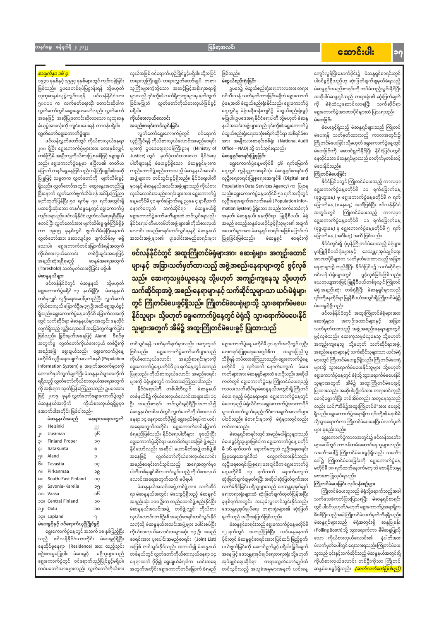မြန်မာ့အလင်း

ဖြစ်သည်။

<mark>စာမျက်နှာ ၁၆ မှ</mark>

၁၉၃၁ ခုနှစ်နှင့် ၁၉၉၄ ခုနှစ်များတွင် ကျင်းပခဲ့ခြင်း ဖြစ်သည်။ ဥပဒေတစ်ရပ်ပြဋ္ဌာန်းရန် သို့မဟုတ် လူထုဆန္ဒခံယူပွဲကျင်းပရန် ဖင်လန်နိုင်ငံသား ၅၀၀၀၀ က လက်မှတ်ရေးထိုး တောင်းဆိုပါက လွှတ်တော်တွင် ဆွေးနွေးရသော်လည်း လွှတ်တော် အနေဖြင့် အဆိုပြုတောင်းဆိုလာသော လူထုဆန္ဒ ခံယူပွဲအားလုံးကို ကျင်းပပေးရန် တာဝန်မရှိပါ။ လွှတ်တော်ရွေးကောက်ပွဲများ

ဖင်လန်လွှတ်တော်တွင် ကိုယ်စားလှယ်နေရာ ၂၀၀ ရှိပြီး ရွေးကောက်ပွဲများအား လေးနှစ်လျှင် တစ်ကြိမ် အချိုးကျကိုယ်စားပြုစနစ်ဖြင့် ရွေးချယ် သည်။ ရွေးကောက်ပွဲနေ့မှာ ဧပြီလ၏ တတိယ မြောက် တနင်္ဂနွေနေ့ဖြစ်သည်။ ဝန်ကြီးချုပ်၏အဆို ပြုမှုဖြင့် သမ္မတက လွှတ်တော်ကို ဖျက်သိမ်းခွင့် ရှိသည်။ လွှတ်တော်အတွင်း ဆွေးနွေးအတည်ပြု ပြီးနောက် လွှတ်တော်ဖျက်သိမ်းရန် အမိန့်ကြေညာ ချက်ထုတ်ပြန်ပြီး ၅၀ ရက်မှ ၇၀ ရက်အတွင်းရှိ ပထမဦးဆုံးသော တနင်္ဂနွေနေ့တွင် ရွေးကောက်ပွဲ ကျင်းပရသည်။ ဖင်လန်နိုင်ငံ လွတ်လပ်ရေးရရှိချိန်မှ စတင်ပြီး လွှတ်တော်အား ဖျက်သိမ်းမှု ရှစ်ကြိမ်ရှိခဲ့ ကာ ၁၉၇၅ ခုနှစ်တွင် ဖျက်သိမ်းခဲ့ပြီးနောက် လွှတ်တော်အား ဆောလျင်စွာ ဖျက်သိမ်းမှု မရှိ သေးပါ။ ရွေးကောက်တင်မြှောက်ခံရန်အတွက် တစ်ဦးချင်းအနေဖြင့် ကိုယ်စားလှယ်လောင်း အနည်းဆုံးရရှိရမည့် ဆန္ဒမဲအရေအတွက် (Threshold) သတ်မှတ်ထားရှိခြင်း မရှိပါ။ မဲဆန္ဒနယ်များ

ဖင်လန်နိုင်ငံတွင် မဲဆန္ဒနယ် သို့မဟုတ် ရွေးကောက်ပွဲခရိုင် ၁၃ နယ်ရှိပြီး မဲဆန္ဒနယ် တစ်ခုလျှင် လူဦးရေအပေါ်မူတည်ပြီး လွှတ်တော် ကိုယ်စားလှယ် ခြောက်ဦးမှ ၃၅ ဦးအထိ ရွေးချယ်ခွင့် ရှိသည်။ ရွေးကောက်ပွဲနေ့မတိုင်မီ ခြောက်လအလို တွင် သက်ဆိုင်ရာ မဲဆန္ဒနယ်များအတွင်း နေထိုင် လျက်ရှိသည့် လူဦးရေအပေါ် အခြေခံတွက်ချက်ခြင်း ဖြစ်သည်။ ခြွင်းချက်အနေဖြင့် Aland စီရင်စု အတွက်မူ လွှတ်တော်ကိုယ်စားလှယ် တစ်ဦးကို အစဉ်အမြဲ ရွေးချယ်သည်။ ရွေးကောက်ပွဲနေ့ မတိုင်မီ လူဦးရေအချက်အလက်စနစ် (Population Information System) မှ အချက်အလက်များကို ကောက်နုတ်တွက်ချက်ပြီး မဲဆန္ဒနယ်များအလိုက် ရရှိသည့် လွှတ်တော်ကိုယ်စားလှယ်အရေအတွက် ကို အစိုးရက ထုတ်ပြန်ကြေညာသည်။ ဥပမာအား ဖြင့် ၂၀၁၉ ခုနှစ် လွှတ်တော်ရွေးကောက်ပွဲတွင် မဲဆန္ဒနယ်အလိုက် ကိုယ်စားလှယ်ရရှိမှုမှာ အောက်ပါအတိုင်း ဖြစ်ပါသည်–

|                       | မဲဆန္ဒနယ်အမည်         | နေရာအရေအတွက် |
|-----------------------|-----------------------|--------------|
| $\overline{\bigcirc}$ | Helsinki              | JJ           |
| - III                 | Uusimaa               | ၃၆           |
| IIÇ                   | <b>Finland Proper</b> | ၁၇           |
| ÇII                   | SataKunta             | ൭            |
| ၅။                    | Aland                 | ∩            |
| Gıı                   | Tavastia              | ЭG           |

လှယ်အဖြစ် ဝင်ရောက်ယှဉ်ပြိုင်ခွင့်မရှိပါ။ ထို့အပြင် တရားသူကြီးချုပ်၊ တရားလွှတ်တော်ချုပ် တရား သူကြီးများကဲ့သို့သော အဆင့်မြင့်အစိုးရအရာရှိ များသည် ၎င်းတို့၏ လက်ရှိရာထူးများမှ နုတ်ထွက် ခြင်းမပြုဘဲ လွှတ်တော်ကိုယ်စားလှယ်ဖြစ်ခွင့် မရှိပါ။

ကိုယ်စားလှယ်လောင်း အမည်စာရင်းတင်သွင်းခြင်း

လွှတ်တော်ရွေးကောက်ပွဲတွင် ဝင်ရောက် ယှဉ်ပြိုင်ရန် ကိုယ်စားလှယ်လောင်းအမည်စာရင်း များကို ဥပဒေရေးရာဝန်ကြီးဌာန (Ministry of Justice) တွင် မှတ်ပုံတင်ထားသော နိုင်ငံရေး ပါတီများနှင့် မဲပေးခွင့်ရှိသော မဲဆန္ဒရှင်များက တည်ထောင်ဖွဲ့စည်းထားသည့် မဲဆန္ဒနယ်အသင်း အဖွဲ့ များက တင်သွင်းခွင့်ရှိသည်။ နိုင်ငံရေးပါတီ များနှင့် မဲဆန္ဒနယ်အသင်းအဖွဲ့ များသည် ကိုယ်စား လှယ်လောင်းအမည်စာရင်းများအား ရွေးကောက်ပွဲ နေ့မတိုင်မီ ၄၀ ရက်မြောက်နေ့ ညနေ ၄ နာရီထက် နောက်မကျဘဲ သက်ဆိုင်ရာ မဲဆန္ဒနယ်ရှိ ရွေးကောက်ပွဲကော်မတီများထံ တင်သွင်းရသည်။ နိုင်ငံရေးပါတီမဟာမိတ်အဖွဲ့ များ၏ ကိုယ်စားလှယ် လောင်း အမည်စာရင်းတင်သွင်းမှုနှင့် မဲဆန္ဒနယ် အသင်းအဖွဲ့ များ၏ ပူးပေါင်းအမည်စာရင်းများ

တင်သွင်းရန် သတ်မှတ်ရက်မှာလည်း အတူတူပင်

ကိုယ်စားလှယ်လောင်း အမည်စာရင်းများကို

ရွေးကောက်ပွဲနေ့မတိုင်မီ ၃၁ ရက်နေ့တွင် အတည်

ပြုရသည်။ ကိုယ်စားလှယ်လောင်း အမည်စာရင်း

နိုင်ငံရေးပါတီ တစ်ပါတီလျှင် မဲဆန္ဒနယ်

များကို မဲရုံများတွင် ကပ်ထားကြေညာပါသည်။

တစ်နယ်စီ၌ ကိုယ်စားလှယ်လောင်းအများဆုံး ၁၄

ဦး အမည်စာရင်း တင်သွင်းခွင့်ရှိပြီး အကယ်၍

မဲဆန္ဒနယ်တစ်နယ်တွင် လွှတ်တော်ကိုယ်စားလှယ်

နေရာ ၁၄ နေရာထက်ပိုမို၍ ရွေးချယ်ခံရပါက ယင်း

အရေအတွက်အတိုင်း ရွေးကောက်တင်မြှောက်

ရွေးကောက်ပွဲကော်မတီများသည်

ဖြစ်သည်။

ဖင်လန်နိုင်ငံတွင် အထူးကြိုတင်မဲရုံများအား ဆေးရုံများ၊ အကျဉ်းထောင် များနှင့် အခြားသတ်မှတ်ထားသည့် အဖွဲ့အစည်းနေရာများတွင် ဖွင့်လှစ် သည်။ ဆေးကုသမှုခံယူနေသူ သို့မဟုတ် အကျဉ်းကျနေသူ သို့မဟုတ် သက်ဆိုင်ရာအဖွဲ့ အစည်းနေရာများနှင့် သက်ဆိုင်သူများသာ ယင်းမဲရုံများ <mark>တွင် ကြိုတင်မဲပေးခွင့်ရှိသည်။ ကြိုတင်မဲပေးရုံများသို့ သွားရောက်မဲမပေး</mark> နိုင်သူများ သို့မဟုတ် ရွေးကောက်ပွဲနေ့တွင် မဲရုံသို့ သွားရောက်မဲမပေးနိုင် သူများအတွက် အိမ်၌ အထူးကြိုတင်မဲပေးခွင့် ပြုထားသည်

> ရွေးကောက်ပွဲနေ့ မတိုင်မီ ၄၁ ရက်အလိုတွင် လူဦး ရေစာရင်းပြုစုရေးအေဂျင်စီက အများပြည်သူ သိရှိရန် ကပ်ထားကြေညာသည်။ ရွေးကောက်ပွဲနေ့ မတိုင်မီ ၂၄ ရက်ထက် နောက်မကျဘဲ မဲပေး ကတ်များအား မဲဆန္ဒရှင်များထံ ပေးပို့သည်။ အဆိုပါ ကတ်တွင် ရွေးကောက်ပွဲနေ့၊ ကြိုတင်မဲပေးရမည့် ကာလ၊ သက်ဆိုင်ရာမဲဆန္ဒနယ်အတွင်းရှိ ကြိုတင် မဲပေး ရမည့် မဲရုံနေရာများ၊ ရွေးကောက်ပွဲနေ့တွင် မဲပေးရမည့် မဲရုံလိပ်စာ၊ ရွေးကောက်ပွဲအာဏာပိုင် များ ထံ ဆက်သွယ်ရမည့် လိပ်စာအချက်အလက်များ ပါဝင်သည်။ မဲစာရင်းများကို မဲရုံများတွင်လည်း ကပ်ထားသည်။

မဲဆန္ဒရှင်စာရင်းတွင် အမည်မပါရှိသူများသည် ခံရမည်ဖြစ်သည်။ နိုင်ငံရေးပါတီများ စုစည်းပြီး ရွေးကောက်ပွဲဆိုင်ရာ မဟာမိတ်များအဖြစ် ဖွဲ့ စည်း မဲပေးခွင့်ရှိသူများဖြစ်ပါက ရွေးကောက်ပွဲနေ့ မတိုင် များပေါ်တွင် တာဝန်ထမ်းဆောင်နေသူများလည်း နိုင်သော်လည်း အဆိုပါ မဟာမိတ်အဖွဲ့တစ်ဖွဲ့စီ မီ ၁၆ ရက်ထက် နောက်မကျဘဲ လူဦးရေစာရင်း သင်္ဘောပေါ်၌ ကြိုတင်မဲပေးခွင့်ရှိသည်။ သင်္ဘော လွှတ်တော်ကိုယ်စားလှယ်လောင်း ပြုစုရေးအေဂျင်စီထံ အနေဖြင့် လျှောက်ထားနိုင်သည်။ ပေါ်၌ ကြိုတင်မဲပေးခြင်းကို ရွေးကောက်ပွဲနေ့ အမည်စာရင်းတင်သွင်းသည့် အရေအတွက်မှာ လူဦးရေစာရင်းပြုစုရေး အေဂျင်စီက ရွေးကောက်ပွဲ မတိုင်မီ ၁၈ ရက်ထက်နောက်မကျဘဲ စောနိုင်သမ္ဘ Pirkanmaa ပါတီတစ်ခုချင်းစီက တင်သွင်းသည့် ကိုယ်စားလှယ် နေ့မတိုင်မီ ၁၃ ရက်ထက် နောက်မကျဘဲ ဂု။ ၁၉ စောစောပြုလုပ်ရသည်။ ดแ South-East Finland လောင်းအရေအတွက်ထက် မပိုရပါ။ ဆုံးဖြတ်ချက်ချမှတ်ရပြီး အဆိုပါဆုံးဖြတ်ချက်အား ၁၇ ကြိုတင်မဲပေးခြင်း လုပ်ငန်းစဉ်များ မဲဆန္ဒနယ်အသင်းအဖွဲ့တစ်ဖွဲ့အား သက်ဆိုင် Savonia-Karelia လက်ခံနိုင်ခြင်း မရှိသူများသည် ဒေသန္တရအုပ်ချုပ် ၁၅ ဖြူ ကြိုတင်မဲပေးသူသည် မဲရုံသို့ရောက်သည့်အခါ ၁၆ ရေးတရားရုံးများထံ ဆုံးဖြတ်ချက်ထုတ်ပြန်အပြီး **DOII Vaasa** ရာ မဲဆန္ဒနယ်အတွင်း မဲပေးခွင့်ရှိသည့် မဲဆန္ဒရှင် အနည်းဆုံး ၁၀၀ ဦးက တည်ထောင်ဖွဲ့ စည်းနိုင်ပြီး วว<sub>่</sub> Central Finland ခုနစ်ရက်အတွင်း အယူခံလွှာတင်သွင်းနိုင်သည်။  $\overline{O}O$ တွင် ပါဝင်သူဟုတ်/မဟုတ် ရွေးကောက်ပွဲအရာရှိက မဲဆန္ဒနယ်အသင်းအဖွဲ့ တစ်ဖွဲ့လျှင် ကိုယ်စား o jii Oulu ဒေသန္တရအုပ်ချုပ်ရေး တရားရုံးများ၏ ဆုံးဖြတ် ၁၈ စိစစ်ပြီးသည့်အခါကြိုတင်မဲလက်မှတ်ကိုရရှိသည်။ ချက်သည် အပြီးအပြတ်ဖြစ်သည်။ **၁၃။ Lapland** လှယ်လောင်း တစ်ဦးစီ အမည်စာရင်းတင်သွင်းနိုင်  $\gamma$ မဲဆန္ဒရှင်များသည် မဲရုံအတွင်းရှိ ဆန္ဒပြုခန်း မဲပေးခွင့်နှင့် ဝင်ရောက်ယှဉ်ပြိုင်ခွင့် သကဲ့သို့ မဲဆန္ဒနယ်အသင်းအဖွဲ့များ ပေါင်းစပ်ပြီး မဲဆန္ဒရှင်စာရင်းသည် ရွေးကောက်ပွဲနေ့မတိုင်မီ (Polling Booth) သို့ သွားရောက်ကာ မိမိဆန္ဒပြုလို ရွေးကောက်ပွဲနေ့တွင် အသက် ၁၈ နှစ်ပြည့်ပြီး ကိုယ်စားလှယ်လောင်းအများဆုံး ၁၄ ဦး အမည် ၁၂ ရက်တွင် အတည်ဖြစ်ပြီး ယင်းနေ့နောက် သော ကိုယ်စားလှယ်လောင်း၏ နံပါတ်အား သည့် ဖင်လန်နိုင်ငံသားတိုင်း မဲပေးခွင့်ရှိပြီး စာရင်းအား ပူးပေါင်းအမည်စာရင်း (Joint List) ပိုင်းတွင် မဲဆန္ဒရှင်စာရင်းအား ပြင်ဆင်၊ ဖြည့်စွက်၊ မဲလက်မှတ်ပေါ်တွင် ရေးသားရသည်။ကြိုတင်မဲပေး နေထိုင်မှုနေရာ (Residence) အား ထည့်သွင်း အဖြစ် တင်သွင်းနိုင်သည်။ အကယ်၍ မဲဆန္ဒနယ် ပယ်ဖျက်ခြင်းကို ဆောင်ရွက်ခွင့် မရှိပါ။ ခြွင်းချက် သူသည် ၎င်းနှင့်သက်ဆိုင်သည့် မဲဆန္ဒနယ်အတွင်းရှိ စဉ်းစားမှုမပြုပါ။ မဲပေးခွင့် မရှိသူများသည် တစ်နယ်တွင် လွှတ်တော်ကိုယ်စားလှယ်နေရာ ၁၄ အနေဖြင့် ဒေသန္တရအုပ်ချုပ်ရေးတရားရုံး သို့မဟုတ် ကိုယ်စားလှယ်လောင်း တစ်ဦးကိုသာ ကြိုတင် ရွေးကောက်ပွဲတွင် ဝင်ရောက်ယှဉ်ပြိုင်ခွင့်မရှိပါ။ အုပ်ချုပ်ရေးဆိုင်ရာ တရားလွှတ်တော်ချုပ်ထံ နေရာထက် ပိုမို၍ ရွေးချယ်ခံရပါက ယင်းအရေ တပ်မတော်သားများလည်း လွှတ်တော်ကိုယ်စား ဆန္ဒမဲပေးခွင့်ရှိသည်။ <mark>*(ဆက်လက်ဖော်ပြပါမည်*</mark> အတွက်အတိုင်း ရွေးကောက်တင်မြှောက် ခံရမည် တင်သွင်းသည့် အယူခံအမှုများအနက် ယင်းနေ့

## မဲဆွယ်စည်းရုံးခြင်း ဥပဒေ၌ မဲဆွယ်စည်းရုံးရေးကာလအား တရား

ဝင်သီးသန့် သတ်မှတ်ထားခြင်းမရှိဘဲ ရွေးကောက် ပွဲနေ့အထိ မဲဆွယ်စည်းရုံးနိုင်သည်။ ရွေးကောက်ပွဲ နေ့တွင်မူ မဲရုံအနီးဝန်းကျင်၌ မဲဆွယ်စည်းရုံးခွင့် မပြုပါ။ ဥပဒေအရ နိုင်ငံရေးပါတီ သို့မဟုတ် မဲဆန္ဒ နယ်အသင်းအဖွဲ့ များသည် ၎င်းတို့၏ ရွေးကောက်ပွဲ မဲဆွယ်စည်းရုံးရေးအသုံးစရိတ်ဆိုင်ရာ အစီရင်ခံစာ အား အမျိုးသားစာရင်းစစ်ရုံး (National Audit Office – NAO) သို့ တင်သွင်းရသည်။ မဲဆန္ဒရှင်စာရင်းပြုစုခြင်း

ရွေးကောက်ပွဲနေ့မတိုင်မီ ၄၆ ရက်မြောက် နေ့တွင် ကွန်ပျူတာစနစ်သုံး မဲဆန္ဒရှင်စာရင်းကို လူဦးရေစာရင်းပြုစုရေးအေဂျင်စီ (Digital and Population Data Services Agency) က ပြုစုရ သည်။ ရွေးကောက်ပွဲနေ့မတိုင်မီ ၅၁ ရက်အလိုတွင် လူဦးရေအချက်အလက်စနစ် (Population Infor– mation System) ၌ရှိသော အမည်၊ သက်သေခံကုဒ် အမှတ်၊ မဲဆန္ဒနယ်၊ နေထိုင်ရာ မြူနီစီပယ်၊ မဲရုံ အမည် စသည့်ဆန္ဒမဲပေးပိုင်ခွင့်ရှိသူများ၏ အချက် အလက်များအား မဲဆန္ဒရှင် စာရင်းအဖြစ် ပြောင်းလဲ မဲဆန္ဒရှင် ပြုစုခြင်းဖြစ်သည်။ စာရင်းကို

ဖင်လန်သံရုံးများတွင် မဲပေးခွင့်ရှိသည်။

ဖင်လန်နိုင်ငံတွင် အထူးကြိုတင်မဲရုံများအား ဆေးရုံများ၊ အကျဉ်းထောင်များနှင့် အခြား သတ်မှတ်ထားသည့် အဖွဲ့အစည်းနေရာများတွင် ဖွင့်လှစ်သည်။ ဆေးကုသမှုခံယူနေသူ သို့မဟုတ် အကျဉ်းကျနေသူ သို့မဟုတ် သက်ဆိုင်ရာအဖွဲ့ အစည်းနေရာများနှင့် သက်ဆိုင်သူများသာ ယင်းမဲရုံ များတွင် ကြိုတင်မဲပေးခွင့်ရှိသည်။ ကြိုတင်မဲပေးရုံ များသို့ သွားရောက်မဲမပေးနိုင်သူများ သို့မဟုတ် ရွေးကောက်ပွဲနေ့တွင် မဲရုံသို့ သွားရောက်မဲမပေးနိုင် သူများအတွက် အိမ်၌ အထူးကြိုတင်မဲပေးခွင့် ပြုထားသည်။ အဆိုပါပုဂ္ဂိုလ်အား တရားဝင်ကူညီ စောင့်ရောက်ပြီး တစ်အိမ်တည်း အတူနေသူသည် လည်း ယင်း"အိမ်၌အထူးကြိုတင်မဲ"အား ပေးခွင့် ရှိသည်။ ရွေးကောက်ပွဲအရာရှိက ၎င်းတို့၏ နေအိမ် သို့သွားရောက်ကာကြိုတင်မဲပေးစေပြီး မဲလက်မှတ် များ စုစည်းသည်။

ရွေးကောက်ပွဲကာလအတွင်း၌ ဖင်လန်သင်္ဘော သက်သေခံကတ်ပြားပြသရပြီး မဲဆန္ဒရှင်စာရင်း

အောင်းပါး

၁၇

ကျော်လွန်ပြီးနောက်ပိုင်း၌ မဲဆန္ဒရှင်စာရင်းတွင် ပါဝင်ခွင့်ရှိသည်ဟု ဆုံးဖြတ်ချက်ချမှတ်ခံရသည့် မဲဆန္ဒရှင်အမည်စာရင်းကို ထပ်မံထည့်သွင်းနိုင်ပြီး အဆိုပါမဲဆန္ဒရှင်သည် တရားရုံး၏ ဆုံးဖြတ်ချက် ကို မဲရုံထံယူဆောင်လာရပြီး သက်ဆိုင်ရာ ရွေးကောက်ပွဲအာဏာပိုင်များထံ ပြသရသည်။ မဲပေးခြင်း မဲပေးခွင့်ရှိသည့် မဲဆန္ဒရှင်များသည် ကြိုတင်

မဲပေးရန် သတ်မှတ်ထားသည့် ကာလအတွင်း၌ ကြိုတင်မဲပေးခြင်း သို့မဟုတ် ရွေးကောက်ပွဲနေ့တွင် မဲပေးခြင်းကို ဆောင်ရွက်နိုင်ပြီး နိုင်ငံပြင်ပတွင် နေထိုင်သော မဲဆန္ဒရှင်များသည် စာတိုက်မှတစ်ဆင့် မဲပေးနိုင်သည်။

ကြိုတင်မဲပေးခြင်း

နိုင်ငံပြင်ပတွင် ကြိုတင်မဲပေးသည့် ကာလမှာ ရွေးကောက်ပွဲနေ့မတိုင်မီ ၁၁ ရက်မြောက်နေ့ (ဗုဒ္ဓဟူးနေ့) မှ ရွေးကောက်ပွဲနေ့မတိုင်မီ ၈ ရက် မြောက်နေ့ (စနေနေ့) အထိဖြစ်ပြီး ဖင်လန်နိုင်ငံ ကြိုတင်မဲပေးသည့် ကာလမှာ အတွင်းတွင် ရွေးကောက်ပွဲနေ့မတိုင်မီ ၁၁ ရက်မြောက်နေ့ (ဗုဒ္ဓဟူးနေ့) မှ ရွေးကောက်ပွဲနေ့မတိုင်မီ ၅ ရက် မြောက်နေ့ (အင်္ဂါနေ့) အထိ ဖြစ်သည်။

နိုင်ငံတွင်းရှိ ပုံမှန်ကြိုတင်မဲပေးသည့် မဲရုံများ မှာမြူနီစီပယ်ရုံးများနှင့် ဒေသန္တရအုပ်ချုပ်ရေး အာဏာပိုင်များက သတ်မှတ်ပေးထားသည့် အခြား နေရာများ၌ တည်ရှိပြီး နိုင်ငံပြင်ပ၌ သက်ဆိုင်ရာ ဖွင့်လှစ်ခြင်းဖြစ်သည်။ ယေဘုယျအားဖြင့် မြူနီစီပယ်တစ်ခုလျှင် ကြိုတင် မဲရုံ အနည်းဆုံး တစ်ရုံရှိပြီး မဲဆန္ဒရှင်များသည် ၎င်းတို့နေထိုင်ရာ မြူနီစီပယ်အတွင်းရှိကြိုတင်မဲရုံ၌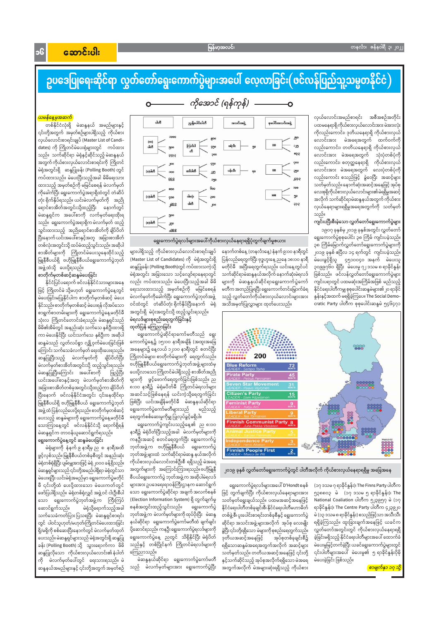## တနင်္လာ၊ ဇန်နဝါရီ ၃၊ ၂၀၂၂

#### မြန်မာ့အလင်း

# ဥပဒေပြုရေးဆိုင်ရာ လွတ်တော်ရွေးကောက်ပွဲများအပေါ် လေ့လာခြင်း(ဖင်လန်ပြည်သူ့သမ္မတနိုင်ငံ)

ကိုအောင် (ရန်ကုန်)

#### <mark>ယမန်နေ့မှအဆက်</mark>

Jc

တစ်နိုင်ငံလုံးရှိ မဲဆန္ဒနယ် အမည်များနှင့် ၎င်းတို့အတွက် အမှတ်စဉ်များပါရှိသည့် ကိုယ်စား လှယ်လောင်းစာရင်းချုပ် (Master List of Candi– dates) ကို ကြိုတင်မဲပေးရုံများတွင် ကပ်ထား သည်။ သက်ဆိုင်ရာ မဲရုံနှင့်ဆိုင်သည့် မဲဆန္ဒနယ် အတွက် ကိုယ်စားလှယ်လောင်းစာရင်းကို ကြိုတင် မဲရုံအတွင်းရှိ ဆန္ဒပြုခန်း (Polling Booth) တွင် ကပ်ထားသည်။ မဲပေးပြီးသည့်အခါ မိမိရေးသား ထားသည့် အမှတ်စဉ်ကို မမြင်စေရန် မဲလက်မှတ် ကိုခေါက်ပြီး ရွေးကောက်ပွဲအရာရှိထံတွင် တံဆိပ် တုံး ရိုက်နှိပ်ရသည်။ ယင်းမဲလက်မှတ်ကို အညို ရောင်စာအိတ်အတွင်းသို့ထည့်ပြီး နောက်တွင် မဲဆန္ဒရှင်က အပေါ်စာကို လက်မှတ်ရေးထိုးရ သည်။ ရွေးကောက်ပွဲအရာရှိက မဲလက်မှတ် ထည့် သွင်းထားသည့် အညိုရောင်စာအိတ်ကို ချိပ်ပိတ် ပြီးနောက် ယင်းအပေါ်စာနှင့်အတူ အခြားစာအိတ် တစ်လုံးအတွင်းသို့ ထပ်မံထည့်သွင်းသည်။ အဆိုပါ စာအိတ်များကို ကြိုတင်မဲပေးသူနေထိုင်သည့် မြူနီစီပယ်ရှိ ဗဟိုမြူနီစီပယ်ရွေးကောက်ပွဲဘုတ် အဖွဲ့ ထံသို့ ပေးပို့ရသည်။ စာတိုက်မှတစ်ဆင့်ဆန္ဒမဲပေးခြင်း

နိုင်ငံပြင်ပရောက် ဖင်လန်နိုင်ငံသားများအနေ ဖြင့် ကြိုတင်မဲ သို့မဟုတ် ရွေးကောက်ပွဲနေ့တွင် မဲပေးခြင်းမပြုနိုင်ပါက စာတိုက်မှတစ်ဆင့် မဲပေး နိုင်သည်။ စာတိုက်မှတစ်ဆင့် မဲပေးရန် လိုအပ်သော စာရွက်စာတမ်းများကို ရွေးကောက်ပွဲနေ့မတိုင်မီ သုံးလ ကြိုတင်တောင်းခံရသည်။ မဲဆန္ဒရှင်သည် မိမိ၏အိမ်တွင် အနည်းဆုံး သက်သေ နစ်ဦးထားရှိ ကာ မဲပေးနိုင်ပြီး ယင်းသက်သေ နှစ်ဦးက အဆိုပါ ဆန္ဒမဲသည် လွတ်လပ်စွာ လျှို့ဝှက်မဲပေးခြင်းဖြစ် ကြောင်း သက်သေခံလက်မှတ် ရေးထိုးပေးရသည်။ ဆန္ဒပြုပြီးသည့် မဲလက်မှတ်ကို ချိပ်ပိတ်ပြီး မဲလက်မှတ်စာအိတ်အတွင်းသို့ ထည့်သွင်းရသည်။ မဲဆန္ဒပြုပြီးကြောင်း အပေါ်စာကို ဖြည့်ပြီး ယင်းအပေါ်စာနှင့်အတူ မဲလက်မှတ်စာအိတ်ကို အခြားစာအိတ်တစ်ခုအတွင်းသို့ထည့်ကာ ချိပ်ပိတ် ပြီးနောက် ဖင်လန်နိုင်ငံအတွင်း ၎င်းနေထိုင်ရာ မြူနီစီပယ်ရှိ ဗဟိုမြူနီစီပယ် ရွေးကောက်ပွဲဘုတ် အဖွဲ့ ထံ ပြန်လည်ပေးပို့ရသည်။ စာတိုက်မှတစ်ဆင့် ပေးသည့် ဆန္ဒမဲများကို ရွေးကောက်ပွဲနေ့မတိုင်မီ သောကြာနေ့တွင် ဖင်လန်နိုင်ငံသို့ ရောက်ရှိရန် မဲဆန္ဒရှင်က တာဝန်ယူဆောင်ရွက်ရသည်။ ရွေးကောက်ပွဲနေ့တွင် ဆန္ဒမဲပေးခြင်း

မဲရုံများကို နံနက် ၉ နာရီမှ ည ၈ နာရီအထိ ဖွင့်လှစ်သည်။ မြူနီစီပယ်တစ်ခုစီတွင် အနည်းဆုံး မဲရုံတစ်ရုံရှိပြီး ပျမ်းမျှအားဖြင့် မဲရုံ ၂၀၀၀ ခန့်ရှိသည်။ မဲဆန္ဒရှင်များသည် ၎င်းတို့အမည်ပါရှိရာ မဲရုံတွင်သာ မဲပေးရပြီး ယင်းမဲရုံအမည်မှာ ရွေးကောက်ပွဲမတိုင် မီ ၎င်းတို့ထံ ပေးပို့ထားသော မဲပေးကတ်တွင် ဖော်ပြပါရှိသည်။ မဲရုံတစ်ရုံလျှင် အဖွဲ့ ဝင် ငါးဦးစီပါ သော ရွေးကောက်ပွဲဘုတ်အဖွဲ့က ကြီးကြပ် ဆောင်ရွက်သည်။ မဲရုံသို့ရောက်သည့်အခါ သက်သေခံကတ်ပြား ပြသရပြီး မဲဆန္ဒရှင်စာရင်း တွင် ပါဝင်သူဟုတ်/မဟုတ်၊ကြိုတင်မဲပေးထားခြင်း ရှိ/မရှိကို စစ်ဆေးပြီးနောက်တွင် မဲလက်မှတ်ထုတ် ပေးသည်။ မဲဆန္ဒရှင်များသည် မဲရုံအတွင်းရှိ ဆန္ဒပြု ခန်း (Polling Booth) သို့ သွားရောက်ကာ မိမိ ကြေညာသည်။ ဆန္ဒပြုလိုသော ကိုယ်စားလှယ်လောင်း၏နံပါတ် ကို မဲလက်မှတ်ပေါ်တွင် ရေးသားရသည်။ မဲ ဆန္ဒနယ်အမည်များနှင့် ၎င်းတို့အတွက် အမှတ်စဉ်



#### ရွေးကောက်ပွဲရလဒ်များအပေါ်ကိုယ်စားလှယ်နေရာရရှိပုံတွက်ချက်မှုဇယား

များပါရှိသည့် ကိုယ်စားလှယ်လောင်းစာရင်းချုပ် (Master List of Candidates) ကို မဲရုံအတွင်းရှိ ဆန္ဒပြုခန်း (Polling Booth)တွင် ကပ်ထားသကဲ့သို့ မဲရုံအတွင်း အခြားသော သင့်လျော်ရာနေရာတွင် လည်း ကပ်ထားသည်။ မဲပေးပြီးသည့်အခါ မိမိ ရေးသားထားသည့် အမှတ်စဉ်ကို မမြင်စေရန် မဲလက်မှတ်ကိုခေါက်ပြီး ရွေးကောက်ပွဲဘုတ်အဖွဲ့ ဝင်ထံတွင် တံဆိပ်တုံးရိုက်နှိပ်ပြီးနောက် မဲရုံ အတွင်းရှိ မဲပုံးအတွင်းသို့ ထည့်သွင်းရသည်။ မဲရလဒ်များစုစည်းရေတွက်ခြင်းနှင့် ထုတ်ပြန် ကြေညာခြင်း

ရွေးကောက်ပွဲဆိုင်ရာကော်မတီသည် ရွေး ကောက်ပွဲနေ့၌ ၁၅:၀၀ နာရီအချိန် (အထူးအခြေ အနေများ၌ နေ့လယ် ၁၂:၀၀ နာရီ)တွင် စတင်ပြီး ကြိုတင်မဲများ၊ စာတိုက်မဲများကို ရေတွက်သည်။ ဗဟိုမြူနီစီပယ်ရွေးကောက်ပွဲဘုတ်အဖွဲ့ များထံမှ ပေးပို့လာသော ကြိုတင်မဲပါရှိသည့် စာအိတ်အညို များကို ဖွင့်ဖောက်ရေတွက်ခြင်းဖြစ်သည်။ ည ၈:၀၀ နာရီ၌ မဲရုံမပိတ်မီ ကြိုတင်မဲရလဒ်များ အဆင်သင့်ဖြစ်နေရန် ယင်းကဲ့သို့ရေတွက်ခြင်း ဖြစ်ပြီး ယင်းအချိန်မတိုင်မီ မဲဆန္ဒနယ်ဆိုင်ရာ ရွေးကောက်ပွဲကော်မတီများသည် မည်သည့် ရေတွက်စစ်ဆေးမှုကိုမျှ ပြုလုပ်ခွင့်မရှိပါ။

ရွေးကောက်ပွဲကျင်းပသည့်နေ့၏ ည ၈:၀၀ နာရီ၌ မဲရုံပိတ်ပြီးသည့်အခါ မဲလက်မှတ်များကို ကနဦးအဆင့် စတင်ရေတွက်ပြီး ရွေးကောက်ပွဲ ဘုတ်အဖွဲ့က ဗဟိုမြူနီစီပယ် ရွေးကောက်ပွဲ ဘုတ်အဖွဲ့ များထံ သက်ဆိုင်ရာမဲဆန္ဒ နယ်အလိုက် ကိုယ်စားလှယ်လောင်းတစ်ဦးစီ ရရှိသည့် မဲအရေ အတွက်များကို အကြောင်းကြားရသည်။ ဗဟိုမြူနီ

နောက်တစ်နေ့ (တနင်္လာနေ့) နံနက်၉:၀၀ နာရီတွင် ပြန်လည်ရေတွက်ပြီး ဗုဒ္ဓဟူးနေ့ ညနေ ၁၈:၀၀ နာရီ မတိုင်မီ အပြီးရေတွက်ရသည်။ ယင်းနေ့တွင်ပင် သက်ဆိုင်ရာမဲဆန္ဒနယ်အလိုက် နောက်ဆုံးမဲရလဒ် များကို မဲဆန္ဒနယ်ဆိုင်ရာရွေးကောက်ပွဲကော် မတီက အတည်ပြုရပြီး ရွေးကောက်တင်မြှောက်ခံရ သည့် လွှတ်တော်ကိုယ်စားလှယ်လောင်းများအား အသိအမှတ်ပြုလွှာများ ထုတ်ပေးသည်။

Ó



လှယ်လောင်းအမည်စာရင်း အစီအစဉ်အတိုင်း ပထမနေရာရှိ ကိုယ်စားလှယ်လောင်းအား မဲအားလုံး ကိုလည်းကောင်း၊ ဒုတိယနေရာရှိ ကိုယ်စားလှယ် လောင်းအား မဲအရေအတွက် ထက်ဝက်ကို လည်းကောင်း၊ တတိယနေရာရှိ ကိုယ်စားလှယ် လောင်းအား မဲအရေအတွက် သုံးပုံတစ်ပုံကို လည်းကောင်း၊ စတုတ္ထနေရာရှိ ကိုယ်စားလှယ် လောင်းအား မဲအရေအတွက် လေးပုံတစ်ပုံကို လည်းကောင်း စသည်ဖြင့် ခွဲဝေပြီး အဆင့်များ သတ်မှတ်သည်။ နောက်ဆုံးအဆင့်အနေဖြင့် အုပ်စု လေးစုရှိကိုယ်စားလှယ်လောင်းများ၏မဲရရှိမှုအဆင့် အလိုက် သက်ဆိုင်ရာမဲဆန္ဒနယ်အတွက် ကိုယ်စား လှယ်နေရာများရရှိမှုအရေအတွက်ကို သတ်မှတ် သည်။

### ကျင်းပပြီးစီးခဲ့သော လွှတ်တော်ရွေးကောက်ပွဲများ

၁၉၀၇ ခုနှစ်မှ ၂၀၁၉ ခုနှစ်အတွင်း လွှတ်တော် ရွေးကောက်ပွဲစုစုပေါင်း ၃၈ ကြိမ် ကျင်းပခဲ့သည်။ ၃၈ ကြိမ်မြောက်လွှတ်တော်ရွေးကောက်ပွဲများကို ၂၀၁၉ ခုနှစ် ဧပြီလ ၁၄ ရက်တွင် ကျင်းပခဲ့သည်။ မဲပေးခွင့်ရှိသူ ၄၅၁၀၀၄၀ အနက် မဲပေးသူ ၃၀၉၉၇၆၀ ရှိပြီး မဲပေးမှု ၇၂ ဒသမ ၈ ရာခိုင်နှုန်း ဖြစ်သည်။ ဖင်လန်လွှတ်တော်ရွေးကောက်ပွဲများ ကျင်းပရာတွင် ပထမဆုံးအကြိမ်အဖြစ် မည်သည့် နိုင်ငံရေးပါတီကမျှ စုစုပေါင်းဆန္ဒမဲများ၏၂၀ ရာခိုင် နူန်းနှင့်အထက် မရရှိခဲ့ကြပေ။ The Social Democratic Party ပါတီက စုစုပေါင်းဆန္ဒမဲ ၅၄၆၄၇၁

၂၀၁၉ ခုနှစ် လွှတ်တော်ရွေးကောက်ပွဲတွင် ပါတီအလိုက် ကိုယ်စားလှယ်နေရာရရှိမှု အခြေအနေ

(၁၇ ဒသမ ၇ ရာခိုင်နူန်း)၊ The Finns Party ပါတီက ၅၃၈၈၀၃ မဲ (၁၇ ဒသမ ၅ ရာခိုင်နှုန်း)၊ The National Coaliation ပါတီက ၅၂၃၉၅၇ မဲ (၁၇ ရာခိုင်နူန်း)၊ The Centre Party ပါတီက ၄၂၃၉၂၀ မဲ (၁၃ ဒသမ ၈ ရာခိုင်နှုန်း) စသည်ဖြင့်သာ အသီးသီး ရရှိခဲ့ကြသည်။ ထူးခြားချက်အနေဖြင့် ယခင်က လွှတ်တော်အတွင်းတွင် ကိုယ်စားလှယ်နေရာရရှိ ခဲ့ခြင်းမရှိသည့် နိုင်ငံရေးပါတီများအပေါ် ထောက်ခံ အုပ်စုတစ်ခုချင်းစီ၌ မဲပေးမှုမြင့်တက်ခဲ့ပြီး ယခင်ရွေးကောက်ပွဲများတွင် ၎င်းပါတီများအပေါ် မဲပေးမှု၏ ၅ ရာခိုင်နှုန်းပိုမို မဲပေးခဲ့ခြင်း ဖြစ်သည်။ <mark>်စာမျက်နှာ ၁၇ သို့</mark>

စီပယ်ရွေးကောက်ပွဲ ဘုတ်အဖွဲ့ က အဆိုပါမဲရလဒ် များအား ဥပဒေရေးရာဝန်ကြီးဌာနက ဆောင်ရွက် ရွေးကောက်ပွဲရလဒ်များအပေါ် D'Hondt စနစ် သော ရွေးကောက်ပွဲဆိုင်ရာ အချက် အလက်စနစ် ဖြင့် တွက်ချက်ပြီး ကိုယ်စားလှယ်နေရာများအား (Election Information System) ရှိ တွက်ချက်မှု သတ်မှတ်ရွေးချယ်သည်။ ပထမအဆင့်အနေဖြင့် စနစ်အတွင်းထည့်သွင်းသည်။ ရွေးကောက်ပွဲ နိုင်ငံရေးပါတီတစ်ခုချင်းစီ၊ နိုင်ငံရေးပါတီမဟာမိတ် ဘုတ်အဖွဲ့က မဲလက်မှတ်များကို ထုပ်ပိုးပြီး မဲဆန္ဒ တစ်ဖွဲ့ စီ၊ ပူးပေါင်းစာရင်းတစ်ခုစီနှင့် ရွေးကောက်ပွဲ နယ်ဆိုင်ရာ ရွေးကောက်ပွဲကော်မတီထံ ချက်ချင်း ဆိုင်ရာ အသင်းအဖွဲ့များအလိုက် အုပ်စု လေးမျိုး ပို့ဆောင်ရသည်။ ကနဦး ရွေးကောက်ပွဲရလဒ်များကို ခွဲပြီး ၎င်းတို့ရရှိသော မဲများကို စုစည်းရေတွက်သည်။ ရွေးကောက်ပွဲနေ့ ညတွင် သိရှိနိုင်ပြီး မဲရုံပိတ် ဒုတိယအဆင့်အနေဖြင့် သည်နှင့် တစ်ပြိုင်နက် ကြိုတင်မဲရလဒ်များကို ရရှိသောဆန္ဒမဲအရေအတွက်အလိုက် အဆင့်များ သတ်မှတ်သည်။ တတိယအဆင့်အနေဖြင့် ၎င်းတို့ မဲဆန္ဒနယ်ဆိုင်ရာ ရွေးကောက်ပွဲကော်မတီ နှင့်သက်ဆိုင်သည့် အုပ်စုအလိုက်ရရှိသော မဲအရေ သည် မဲလက်မှတ်များအား ရွေးကောက်ပွဲပြီး အတွက်အလိုက် မဲအများဆုံးရရှိသည့် ကိုယ်စား